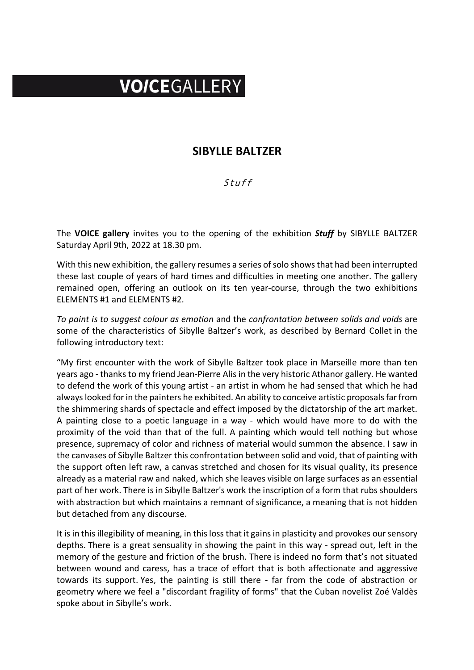## VOICEGALLERY

## **SIBYLLE BALTZER**

## Stuff

The **VOICE gallery** invites you to the opening of the exhibition *Stuff* by SIBYLLE BALTZER Saturday April 9th, 2022 at 18.30 pm.

With this new exhibition, the gallery resumes a series of solo shows that had been interrupted these last couple of years of hard times and difficulties in meeting one another. The gallery remained open, offering an outlook on its ten year-course, through the two exhibitions ELEMENTS #1 and ELEMENTS #2.

*To paint is to suggest colour as emotion* and the *confrontation between solids and voids* are some of the characteristics of Sibylle Baltzer's work, as described by Bernard Collet in the following introductory text:

"My first encounter with the work of Sibylle Baltzer took place in Marseille more than ten years ago - thanks to my friend Jean-Pierre Alis in the very historic Athanor gallery. He wanted to defend the work of this young artist - an artist in whom he had sensed that which he had always looked for in the painters he exhibited. An ability to conceive artistic proposals far from the shimmering shards of spectacle and effect imposed by the dictatorship of the art market. A painting close to a poetic language in a way - which would have more to do with the proximity of the void than that of the full. A painting which would tell nothing but whose presence, supremacy of color and richness of material would summon the absence. I saw in the canvases of Sibylle Baltzer this confrontation between solid and void, that of painting with the support often left raw, a canvas stretched and chosen for its visual quality, its presence already as a material raw and naked, which she leaves visible on large surfaces as an essential part of her work. There is in Sibylle Baltzer's work the inscription of a form that rubs shoulders with abstraction but which maintains a remnant of significance, a meaning that is not hidden but detached from any discourse.

It is in this illegibility of meaning, in this loss that it gains in plasticity and provokes our sensory depths. There is a great sensuality in showing the paint in this way - spread out, left in the memory of the gesture and friction of the brush. There is indeed no form that's not situated between wound and caress, has a trace of effort that is both affectionate and aggressive towards its support. Yes, the painting is still there - far from the code of abstraction or geometry where we feel a "discordant fragility of forms" that the Cuban novelist Zoé Valdès spoke about in Sibylle's work.